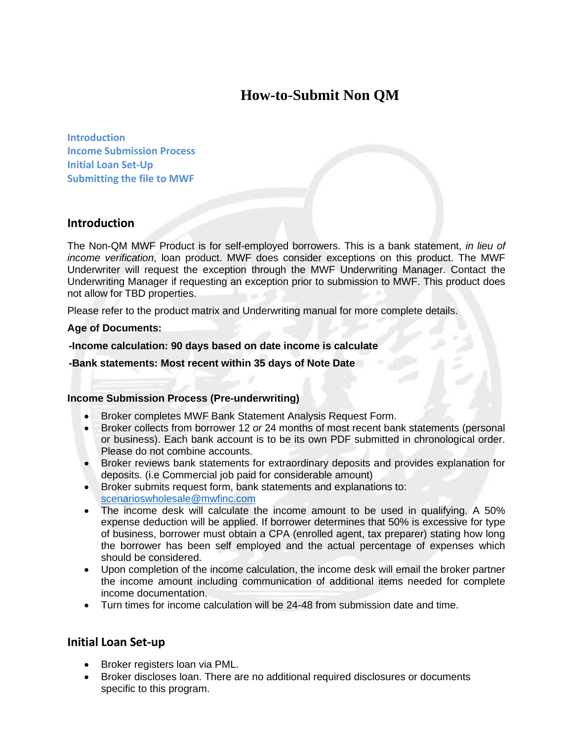# **How-to-Submit Non QM**

**Introduction Income Submission Process Initial Loan Set-Up Submitting the file to MWF** 

## **Introduction**

The Non-QM MWF Product is for self-employed borrowers. This is a bank statement, *in lieu of income verification*, loan product. MWF does consider exceptions on this product. The MWF Underwriter will request the exception through the MWF Underwriting Manager. Contact the Underwriting Manager if requesting an exception prior to submission to MWF. This product does not allow for TBD properties.

Please refer to the product matrix and Underwriting manual for more complete details.

#### **Age of Documents:**

#### **-Income calculation: 90 days based on date income is calculate**

 **-Bank statements: Most recent within 35 days of Note Date** 

#### **Income Submission Process (Pre-underwriting)**

- Broker completes MWF Bank Statement Analysis Request Form.
- Broker collects from borrower 12 *or* 24 months of most recent bank statements (personal or business). Each bank account is to be its own PDF submitted in chronological order. Please do not combine accounts.
- Broker reviews bank statements for extraordinary deposits and provides explanation for deposits. (i.e Commercial job paid for considerable amount)
- Broker submits request form, bank statements and explanations to: scenarioswholesale@mwfinc.com
- The income desk will calculate the income amount to be used in qualifying. A 50% expense deduction will be applied. If borrower determines that 50% is excessive for type of business, borrower must obtain a CPA (enrolled agent, tax preparer) stating how long the borrower has been self employed and the actual percentage of expenses which should be considered.
- Upon completion of the income calculation, the income desk will email the broker partner the income amount including communication of additional items needed for complete income documentation.
- Turn times for income calculation will be 24-48 from submission date and time.

### **Initial Loan Set-up**

- Broker registers loan via PML.
- Broker discloses loan. There are no additional required disclosures or documents specific to this program.